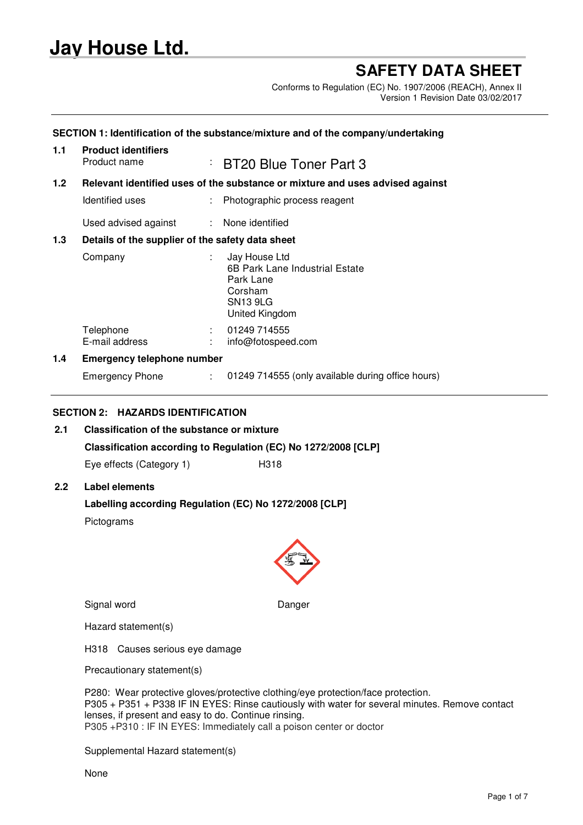# **Jay House Ltd.**

# **SAFETY DATA SHEET**

Conforms to Regulation (EC) No. 1907/2006 (REACH), Annex II Version 1 Revision Date 03/02/2017

# **SECTION 1: Identification of the substance/mixture and of the company/undertaking 1.1 Product identifiers** Product name : BT20 Blue Toner Part 3 **1.2 Relevant identified uses of the substance or mixture and uses advised against** Identified uses : Photographic process reagent Used advised against : None identified **1.3 Details of the supplier of the safety data sheet** Company : Jay House Ltd 6B Park Lane Industrial Estate Park Lane Corsham SN13 9LG United Kingdom Telephone : 01249 714555 E-mail address : info@fotospeed.com **1.4 Emergency telephone number** Emergency Phone : 01249 714555 (only available during office hours)

#### **SECTION 2: HAZARDS IDENTIFICATION**

# **2.1 Classification of the substance or mixture Classification according to Regulation (EC) No 1272/2008 [CLP]** Eye effects (Category 1) H318

# **2.2 Label elements**

**Labelling according Regulation (EC) No 1272/2008 [CLP]**

Pictograms



Signal word **Danger** Danger

Hazard statement(s)

H318 Causes serious eye damage

Precautionary statement(s)

P280: Wear protective gloves/protective clothing/eye protection/face protection. P305 + P351 + P338 IF IN EYES: Rinse cautiously with water for several minutes. Remove contact lenses, if present and easy to do. Continue rinsing. P305 +P310 : IF IN EYES: Immediately call a poison center or doctor

Supplemental Hazard statement(s)

None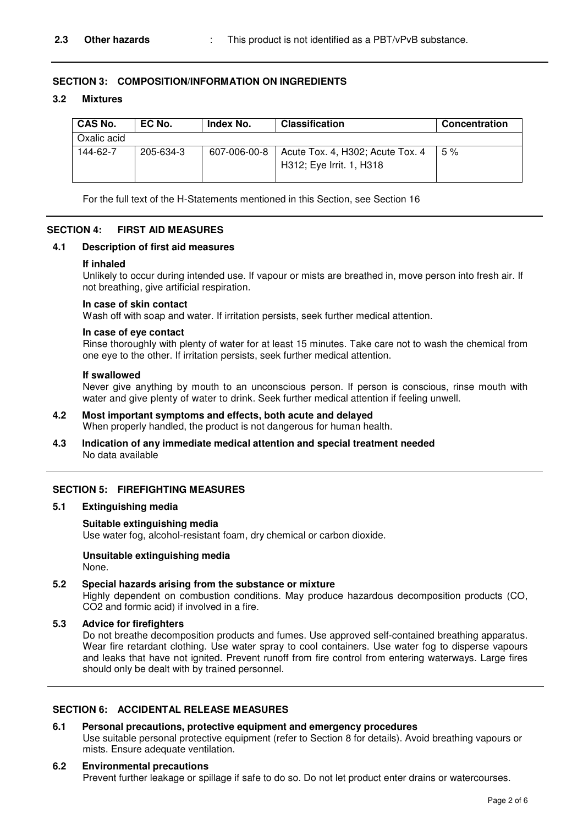# **SECTION 3: COMPOSITION/INFORMATION ON INGREDIENTS**

#### **3.2 Mixtures**

| <b>CAS No.</b> | EC No.    | Index No.    | <b>Classification</b>                                        | <b>Concentration</b> |
|----------------|-----------|--------------|--------------------------------------------------------------|----------------------|
| Oxalic acid    |           |              |                                                              |                      |
| 144-62-7       | 205-634-3 | 607-006-00-8 | Acute Tox. 4, H302; Acute Tox. 4<br>H312; Eye Irrit. 1, H318 | 5%                   |

For the full text of the H-Statements mentioned in this Section, see Section 16

#### **SECTION 4: FIRST AID MEASURES**

#### **4.1 Description of first aid measures**

#### **If inhaled**

Unlikely to occur during intended use. If vapour or mists are breathed in, move person into fresh air. If not breathing, give artificial respiration.

#### **In case of skin contact**

Wash off with soap and water. If irritation persists, seek further medical attention.

#### **In case of eye contact**

Rinse thoroughly with plenty of water for at least 15 minutes. Take care not to wash the chemical from one eye to the other. If irritation persists, seek further medical attention.

#### **If swallowed**

Never give anything by mouth to an unconscious person. If person is conscious, rinse mouth with water and give plenty of water to drink. Seek further medical attention if feeling unwell.

#### **4.2 Most important symptoms and effects, both acute and delayed** When properly handled, the product is not dangerous for human health.

**4.3 Indication of any immediate medical attention and special treatment needed** No data available

#### **SECTION 5: FIREFIGHTING MEASURES**

#### **5.1 Extinguishing media**

#### **Suitable extinguishing media**

Use water fog, alcohol-resistant foam, dry chemical or carbon dioxide.

#### **Unsuitable extinguishing media** None.

**5.2 Special hazards arising from the substance or mixture** Highly dependent on combustion conditions. May produce hazardous decomposition products (CO, CO2 and formic acid) if involved in a fire.

#### **5.3 Advice for firefighters**

Do not breathe decomposition products and fumes. Use approved self-contained breathing apparatus. Wear fire retardant clothing. Use water spray to cool containers. Use water fog to disperse vapours and leaks that have not ignited. Prevent runoff from fire control from entering waterways. Large fires should only be dealt with by trained personnel.

#### **SECTION 6: ACCIDENTAL RELEASE MEASURES**

#### **6.1 Personal precautions, protective equipment and emergency procedures**

Use suitable personal protective equipment (refer to Section 8 for details). Avoid breathing vapours or mists. Ensure adequate ventilation.

**6.2 Environmental precautions** Prevent further leakage or spillage if safe to do so. Do not let product enter drains or watercourses.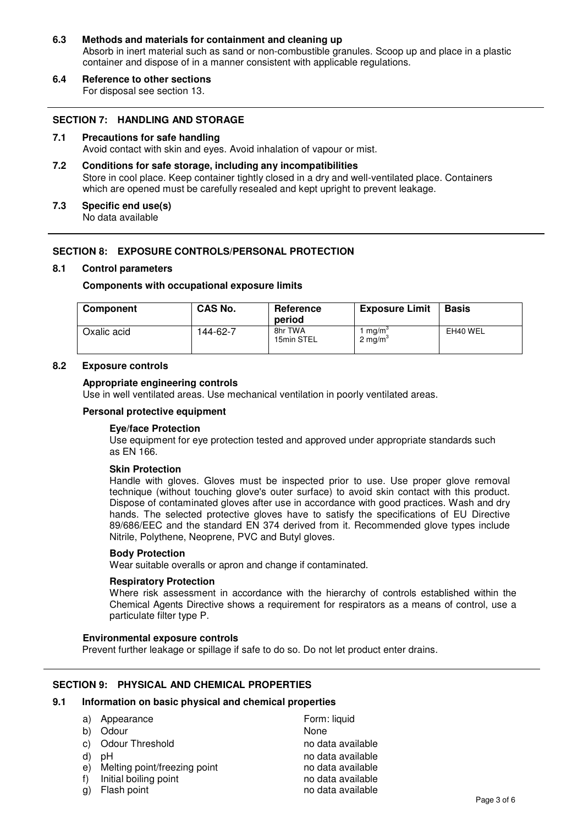#### **6.3 Methods and materials for containment and cleaning up** Absorb in inert material such as sand or non-combustible granules. Scoop up and place in a plastic container and dispose of in a manner consistent with applicable regulations.

#### **6.4 Reference to other sections** For disposal see section 13.

### **SECTION 7: HANDLING AND STORAGE**

### **7.1 Precautions for safe handling** Avoid contact with skin and eyes. Avoid inhalation of vapour or mist.

- **7.2 Conditions for safe storage, including any incompatibilities** Store in cool place. Keep container tightly closed in a dry and well-ventilated place. Containers which are opened must be carefully resealed and kept upright to prevent leakage.
- **7.3 Specific end use(s)** No data available

# **SECTION 8: EXPOSURE CONTROLS/PERSONAL PROTECTION**

#### **8.1 Control parameters**

#### **Components with occupational exposure limits**

| <b>Component</b> | <b>CAS No.</b> | Reference<br>period   | <b>Exposure Limit</b>      | <b>Basis</b> |
|------------------|----------------|-----------------------|----------------------------|--------------|
| Oxalic acid      | 144-62-7       | 8hr TWA<br>15min STEL | mg/m<br>$2 \text{ mg/m}^3$ | EH40 WEL     |

#### **8.2 Exposure controls**

#### **Appropriate engineering controls**

Use in well ventilated areas. Use mechanical ventilation in poorly ventilated areas.

#### **Personal protective equipment**

#### **Eye/face Protection**

Use equipment for eye protection tested and approved under appropriate standards such as EN 166.

#### **Skin Protection**

Handle with gloves. Gloves must be inspected prior to use. Use proper glove removal technique (without touching glove's outer surface) to avoid skin contact with this product. Dispose of contaminated gloves after use in accordance with good practices. Wash and dry hands. The selected protective gloves have to satisfy the specifications of EU Directive 89/686/EEC and the standard EN 374 derived from it. Recommended glove types include Nitrile, Polythene, Neoprene, PVC and Butyl gloves.

#### **Body Protection**

Wear suitable overalls or apron and change if contaminated.

#### **Respiratory Protection**

Where risk assessment in accordance with the hierarchy of controls established within the Chemical Agents Directive shows a requirement for respirators as a means of control, use a particulate filter type P.

#### **Environmental exposure controls**

Prevent further leakage or spillage if safe to do so. Do not let product enter drains.

### **SECTION 9: PHYSICAL AND CHEMICAL PROPERTIES**

#### **9.1 Information on basic physical and chemical properties**

| a)       | Appearance                   | Form: liquid      |
|----------|------------------------------|-------------------|
|          | Odour                        | None              |
| C)       | Odour Threshold              | no data available |
|          | pН                           | no data available |
| $\Theta$ | Melting point/freezing point | no data available |
|          | Initial boiling point        | no data available |
|          | Flash point                  | no data available |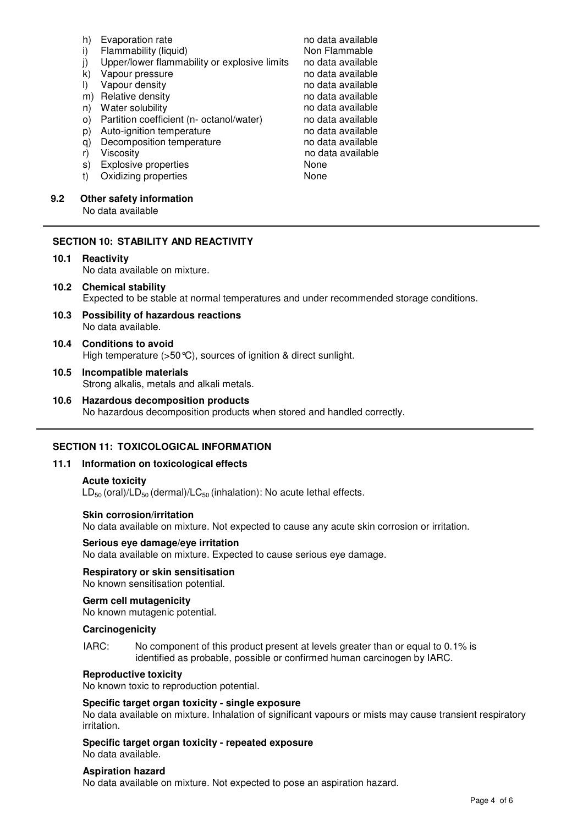- 
- i) Flammability (liquid) (in the synthesis of Flammable in the Upper/lower flammability or explosive limits on data available  $i)$  Upper/lower flammability or explosive limits
- k) Vapour pressure no data available
- 
- 
- 
- o) Partition coefficient (n- octanol/water) no data available
- p) Auto-ignition temperature no data available
- q) Decomposition temperature no data available
- 
- s) Explosive properties None
- t) Oxidizing properties None

#### **9.2 Other safety information** No data available

### **SECTION 10: STABILITY AND REACTIVITY**

# **10.1 Reactivity**

No data available on mixture.

- **10.2 Chemical stability** Expected to be stable at normal temperatures and under recommended storage conditions.
- **10.3 Possibility of hazardous reactions** No data available.
- **10.4 Conditions to avoid** High temperature (>50°C), sources of ignition & direct sunlight.
- **10.5 Incompatible materials** Strong alkalis, metals and alkali metals.
- **10.6 Hazardous decomposition products** No hazardous decomposition products when stored and handled correctly.

# **SECTION 11: TOXICOLOGICAL INFORMATION**

### **11.1 Information on toxicological effects**

### **Acute toxicity**

 $LD_{50}$  (oral)/LD<sub>50</sub> (dermal)/LC<sub>50</sub> (inhalation): No acute lethal effects.

### **Skin corrosion/irritation**

No data available on mixture. Not expected to cause any acute skin corrosion or irritation.

### **Serious eye damage/eye irritation**

No data available on mixture. Expected to cause serious eye damage.

#### **Respiratory or skin sensitisation**

No known sensitisation potential.

#### **Germ cell mutagenicity**

No known mutagenic potential.

#### **Carcinogenicity**

IARC: No component of this product present at levels greater than or equal to 0.1% is identified as probable, possible or confirmed human carcinogen by IARC.

#### **Reproductive toxicity**

No known toxic to reproduction potential.

#### **Specific target organ toxicity - single exposure**

No data available on mixture. Inhalation of significant vapours or mists may cause transient respiratory irritation.

**Specific target organ toxicity - repeated exposure** No data available.

### **Aspiration hazard**

No data available on mixture. Not expected to pose an aspiration hazard.

h) Evaporation rate no data available<br>
i) Elammability (liquid) and the no data available<br>
Non Flammable l) Vapour density no data available m) Relative density no data available n) Water solubility no data available r) Viscosity **no data available**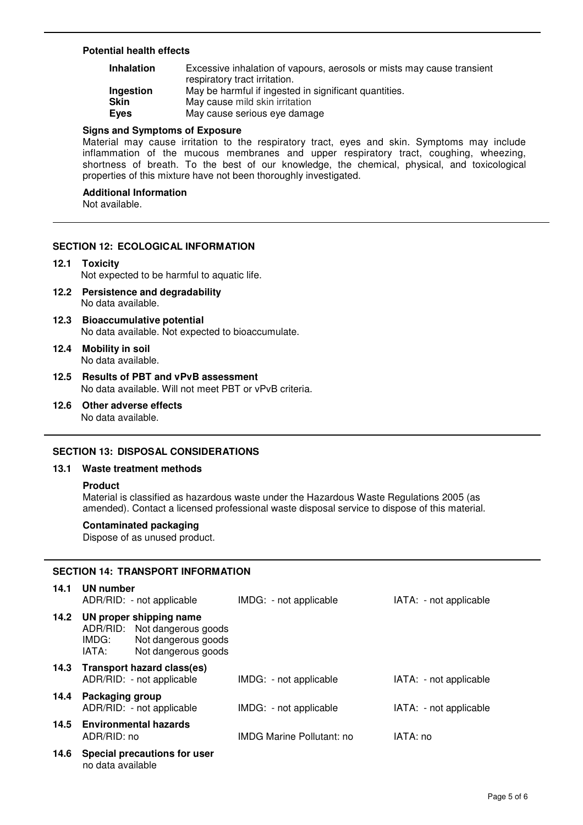# **Potential health effects**

| <b>Inhalation</b> | Excessive inhalation of vapours, aerosols or mists may cause transient |  |
|-------------------|------------------------------------------------------------------------|--|
|                   | respiratory tract irritation.                                          |  |
| Ingestion         | May be harmful if ingested in significant quantities.                  |  |
| <b>Skin</b>       | May cause mild skin irritation                                         |  |
| <b>Eves</b>       | May cause serious eye damage                                           |  |

#### **Signs and Symptoms of Exposure**

Material may cause irritation to the respiratory tract, eyes and skin. Symptoms may include inflammation of the mucous membranes and upper respiratory tract, coughing, wheezing, shortness of breath. To the best of our knowledge, the chemical, physical, and toxicological properties of this mixture have not been thoroughly investigated.

### **Additional Information**

Not available.

#### **SECTION 12: ECOLOGICAL INFORMATION**

#### **12.1 Toxicity**

Not expected to be harmful to aquatic life.

- **12.2 Persistence and degradability** No data available.
- **12.3 Bioaccumulative potential** No data available. Not expected to bioaccumulate.
- **12.4 Mobility in soil** No data available.
- **12.5 Results of PBT and vPvB assessment** No data available. Will not meet PBT or vPvB criteria.
- **12.6 Other adverse effects** No data available.

#### **SECTION 13: DISPOSAL CONSIDERATIONS**

#### **13.1 Waste treatment methods**

#### **Product**

Material is classified as hazardous waste under the Hazardous Waste Regulations 2005 (as amended). Contact a licensed professional waste disposal service to dispose of this material.

#### **Contaminated packaging**

Dispose of as unused product.

#### **SECTION 14: TRANSPORT INFORMATION**

| 14.1 | UN number<br>ADR/RID: - not applicable                                                                                  | IMDG: - not applicable           | IATA: - not applicable |
|------|-------------------------------------------------------------------------------------------------------------------------|----------------------------------|------------------------|
| 14.2 | UN proper shipping name<br>ADR/RID: Not dangerous goods<br>Not dangerous goods<br>IMDG:<br>Not dangerous goods<br>IATA: |                                  |                        |
| 14.3 | Transport hazard class(es)<br>ADR/RID: - not applicable                                                                 | IMDG: - not applicable           | IATA: - not applicable |
| 14.4 | Packaging group<br>ADR/RID: - not applicable                                                                            | IMDG: - not applicable           | IATA: - not applicable |
| 14.5 | <b>Environmental hazards</b><br>ADR/RID: no                                                                             | <b>IMDG Marine Pollutant: no</b> | IATA: no               |
| 14.6 | Special precautions for user<br>no data available                                                                       |                                  |                        |